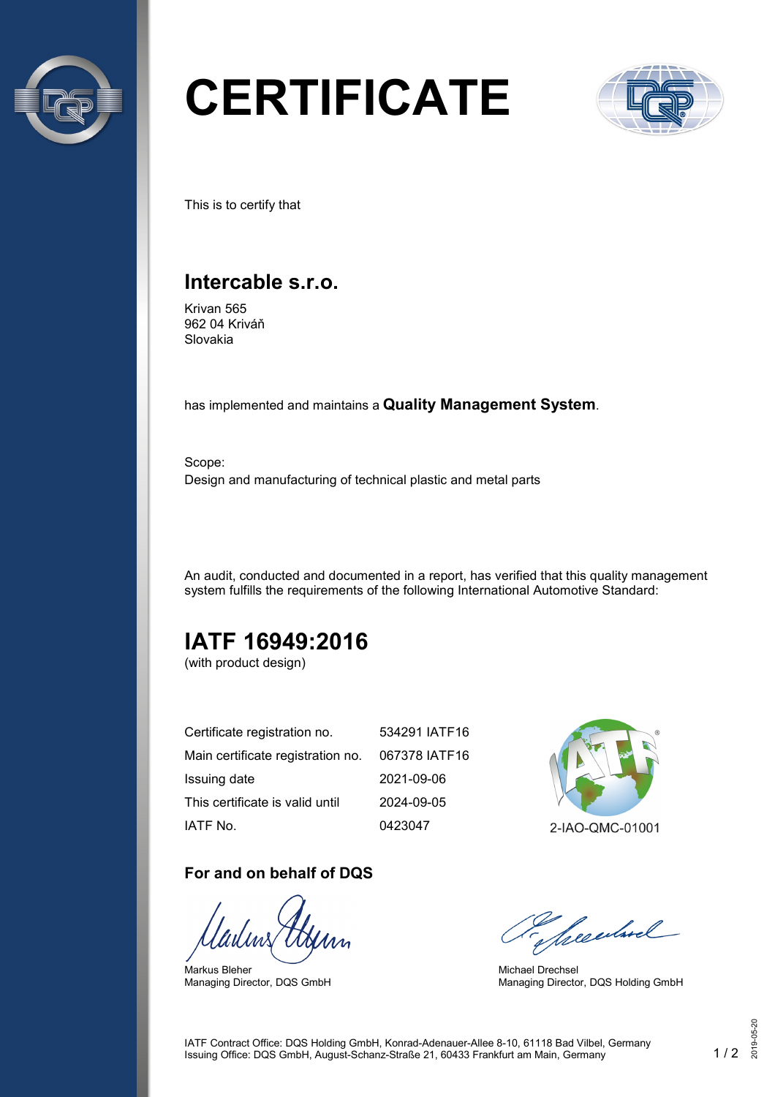

# **CERTIFICATE**



This is to certify that

## **Intercable s.r.o.**

Krivan 565 962 04 Kriváň Slovakia

has implemented and maintains a **Quality Management System**.

Scope: Design and manufacturing of technical plastic and metal parts

An audit, conducted and documented in a report, has verified that this quality management system fulfills the requirements of the following International Automotive Standard:

# **IATF 16949:2016**

(with product design)

| Certificate registration no.      | 534291 IATF16 |
|-----------------------------------|---------------|
| Main certificate registration no. | 067378 IATF16 |
| Issuing date                      | 2021-09-06    |
| This certificate is valid until   | 2024-09-05    |
| IATF No.                          | 0423047       |

#### **For and on behalf of DQS**

Markus Bleher Managing Director, DQS GmbH



2-IAO-QMC-01001

Seculard

Michael Drechsel Managing Director, DQS Holding GmbH

IATF Contract Office: DQS Holding GmbH, Konrad-Adenauer-Allee 8-10, 61118 Bad Vilbel, Germany Issuing Office: DQS GmbH, August-Schanz-Straße 21, 60433 Frankfurt am Main, Germany 1 / 2